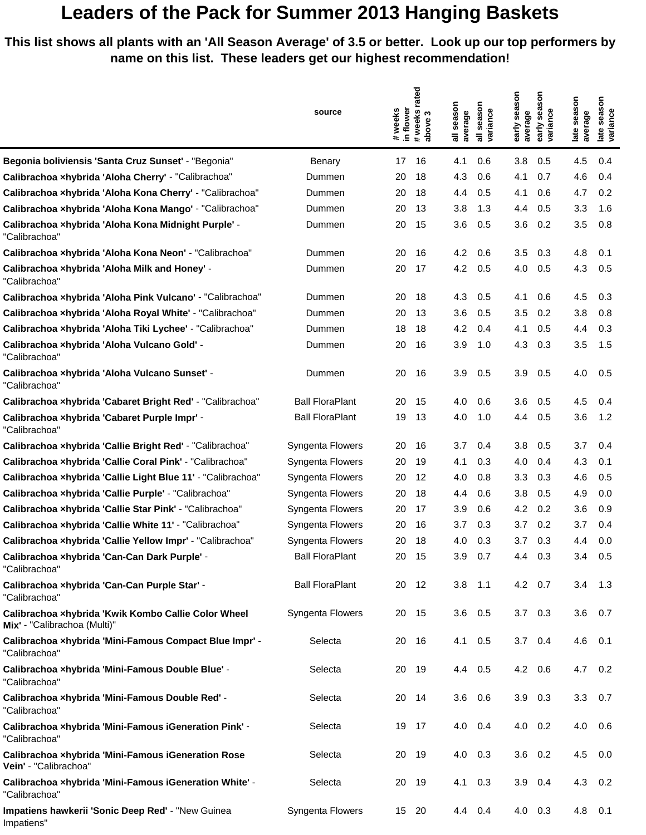## **Leaders of the Pack for Summer 2013 Hanging Baskets**

**This list shows all plants with an 'All Season Average' of 3.5 or better. Look up our top performers by name on this list. These leaders get our highest recommendation!**

|                                                                                     |                        | rated                               |                                         | nosi                                 |                                                      |
|-------------------------------------------------------------------------------------|------------------------|-------------------------------------|-----------------------------------------|--------------------------------------|------------------------------------------------------|
|                                                                                     | source                 | in flower<br>#weeks<br># weeks<br>S | season<br>season<br>variance<br>average | season<br>sea<br>variance<br>average | season<br>season<br>late seas<br>variance<br>average |
|                                                                                     |                        | above                               | $\bar{a}$                               | early<br>early                       | late                                                 |
| Begonia boliviensis 'Santa Cruz Sunset' - "Begonia"                                 | Benary                 | 17<br>16                            | 4.1<br>0.6                              | 3.8<br>0.5                           | 4.5<br>0.4                                           |
| Calibrachoa xhybrida 'Aloha Cherry' - "Calibrachoa"                                 | Dummen                 | 18<br>20                            | 4.3<br>0.6                              | 4.1<br>0.7                           | 4.6<br>0.4                                           |
| Calibrachoa xhybrida 'Aloha Kona Cherry' - "Calibrachoa"                            | Dummen                 | 18<br>20                            | 4.4<br>0.5                              | 4.1<br>0.6                           | 4.7<br>0.2                                           |
| Calibrachoa xhybrida 'Aloha Kona Mango' - "Calibrachoa"                             | Dummen                 | 20<br>13                            | 3.8<br>1.3                              | 4.4<br>0.5                           | 3.3<br>1.6                                           |
| Calibrachoa xhybrida 'Aloha Kona Midnight Purple' -<br>"Calibrachoa"                | Dummen                 | 15<br>20                            | 3.6<br>0.5                              | 3.6<br>0.2                           | 3.5<br>0.8                                           |
| Calibrachoa xhybrida 'Aloha Kona Neon' - "Calibrachoa"                              | Dummen                 | 20<br>16                            | 4.2<br>0.6                              | 3.5<br>0.3                           | 4.8<br>0.1                                           |
| Calibrachoa xhybrida 'Aloha Milk and Honey' -<br>"Calibrachoa"                      | Dummen                 | 17<br>20                            | 4.2<br>0.5                              | 4.0<br>0.5                           | 4.3<br>0.5                                           |
| Calibrachoa xhybrida 'Aloha Pink Vulcano' - "Calibrachoa"                           | Dummen                 | 18<br>20                            | 4.3<br>0.5                              | 4.1<br>0.6                           | 4.5<br>0.3                                           |
| Calibrachoa xhybrida 'Aloha Royal White' - "Calibrachoa"                            | Dummen                 | 13<br>20                            | 3.6<br>0.5                              | 3.5<br>0.2                           | 3.8<br>0.8                                           |
| Calibrachoa xhybrida 'Aloha Tiki Lychee' - "Calibrachoa"                            | Dummen                 | 18<br>18                            | 4.2<br>0.4                              | 0.5<br>4.1                           | 4.4<br>0.3                                           |
| Calibrachoa xhybrida 'Aloha Vulcano Gold' -<br>"Calibrachoa"                        | Dummen                 | 16<br>20                            | 3.9<br>1.0                              | 4.3<br>0.3                           | 3.5<br>1.5                                           |
| Calibrachoa xhybrida 'Aloha Vulcano Sunset' -<br>"Calibrachoa"                      | Dummen                 | 20<br>16                            | 3.9<br>0.5                              | 3.9<br>0.5                           | 4.0<br>0.5                                           |
| Calibrachoa xhybrida 'Cabaret Bright Red' - "Calibrachoa"                           | <b>Ball FloraPlant</b> | 15<br>20                            | 0.6<br>4.0                              | 3.6<br>0.5                           | 4.5<br>0.4                                           |
| Calibrachoa xhybrida 'Cabaret Purple Impr' -<br>"Calibrachoa"                       | <b>Ball FloraPlant</b> | 19<br>13                            | 4.0<br>1.0                              | 4.4<br>0.5                           | 3.6<br>1.2                                           |
| Calibrachoa xhybrida 'Callie Bright Red' - "Calibrachoa"                            | Syngenta Flowers       | 20<br>16                            | 3.7<br>0.4                              | 3.8<br>0.5                           | 3.7<br>0.4                                           |
| Calibrachoa xhybrida 'Callie Coral Pink' - "Calibrachoa"                            | Syngenta Flowers       | 20<br>19                            | 4.1<br>0.3                              | 4.0<br>0.4                           | 4.3<br>0.1                                           |
| Calibrachoa xhybrida 'Callie Light Blue 11' - "Calibrachoa"                         | Syngenta Flowers       | 12<br>20                            | 4.0<br>0.8                              | 3.3<br>0.3                           | 4.6<br>0.5                                           |
| Calibrachoa xhybrida 'Callie Purple' - "Calibrachoa"                                | Syngenta Flowers       | 20<br>18                            | 4.4<br>0.6                              | 3.8<br>0.5                           | 4.9<br>0.0                                           |
| Calibrachoa xhybrida 'Callie Star Pink' - "Calibrachoa"                             | Syngenta Flowers       | 17<br>20                            | 3.9<br>0.6                              | 4.2<br>0.2                           | 3.6<br>0.9                                           |
| Calibrachoa xhybrida 'Callie White 11' - "Calibrachoa"                              | Syngenta Flowers       | 20<br>16                            | 3.7<br>0.3                              | 3.7<br>0.2                           | 3.7<br>0.4                                           |
| Calibrachoa xhybrida 'Callie Yellow Impr' - "Calibrachoa"                           | Syngenta Flowers       | 18<br>20                            | 4.0<br>0.3                              | 3.7<br>0.3                           | 4.4<br>0.0                                           |
| Calibrachoa xhybrida 'Can-Can Dark Purple' -<br>"Calibrachoa"                       | <b>Ball FloraPlant</b> | 20<br>15                            | 3.9<br>0.7                              | 4.4<br>0.3                           | 3.4<br>0.5                                           |
| Calibrachoa xhybrida 'Can-Can Purple Star' -<br>"Calibrachoa"                       | <b>Ball FloraPlant</b> | 20 12                               | $3.8$ 1.1                               | $4.2\quad 0.7$                       | $3.4$ 1.3                                            |
| Calibrachoa xhybrida 'Kwik Kombo Callie Color Wheel<br>Mix' - "Calibrachoa (Multi)" | Syngenta Flowers       | 20<br>15                            | 3.6<br>0.5                              | 3.7<br>0.3                           | 3.6<br>0.7                                           |
| Calibrachoa xhybrida 'Mini-Famous Compact Blue Impr' -<br>"Calibrachoa"             | Selecta                | 20<br>-16                           | 4.1<br>0.5                              | $3.7\quad 0.4$                       | 4.6<br>0.1                                           |
| Calibrachoa xhybrida 'Mini-Famous Double Blue' -<br>"Calibrachoa"                   | Selecta                | 19<br>20                            | 0.5<br>4.4                              | 4.2<br>0.6                           | 0.2<br>4.7                                           |
| Calibrachoa xhybrida 'Mini-Famous Double Red' -<br>"Calibrachoa"                    | Selecta                | 20<br>14                            | $3.6$ 0.6                               | 3.9<br>0.3                           | $3.3\quad 0.7$                                       |
| Calibrachoa xhybrida 'Mini-Famous iGeneration Pink' -<br>"Calibrachoa"              | Selecta                | 17<br>19                            | 4.0<br>0.4                              | 4.0<br>0.2                           | 4.0<br>0.6                                           |
| Calibrachoa xhybrida 'Mini-Famous iGeneration Rose<br>Vein' - "Calibrachoa"         | Selecta                | 20<br>- 19                          | 4.0<br>0.3                              | 3.6<br>0.2                           | 4.5<br>0.0                                           |
| Calibrachoa xhybrida 'Mini-Famous iGeneration White' -<br>"Calibrachoa"             | Selecta                | 19<br>20                            | 0.3<br>4.1                              | 3.9<br>0.4                           | 4.3<br>0.2                                           |
| Impatiens hawkerii 'Sonic Deep Red' - "New Guinea<br>Impatiens"                     | Syngenta Flowers       | 15 20                               | 4.4<br>0.4                              | 4.0<br>0.3                           | 4.8<br>0.1                                           |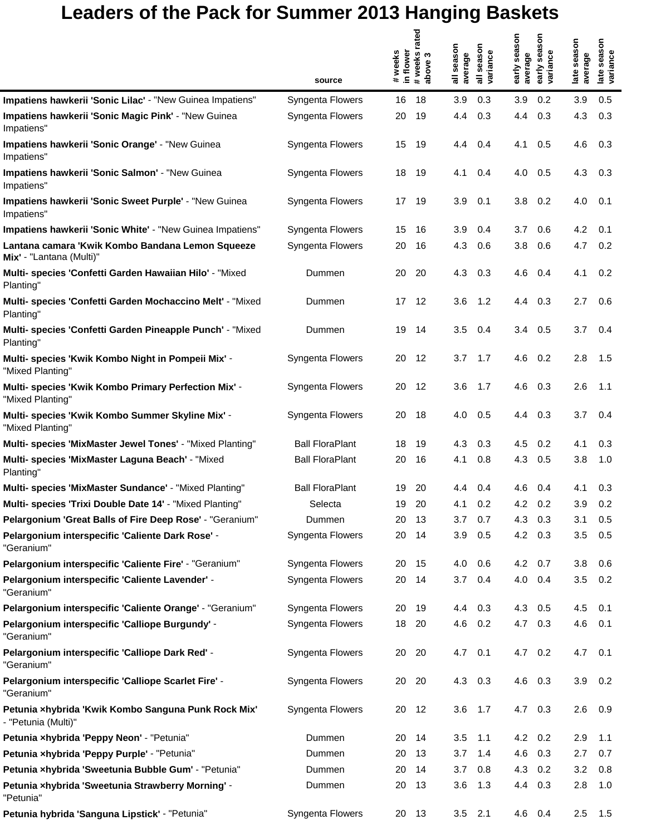## **Leaders of the Pack for Summer 2013 Hanging Baskets**

|                                                                              |                        |                     | rated                 |                        |                                                 |                         |                                  |                           |                                 |
|------------------------------------------------------------------------------|------------------------|---------------------|-----------------------|------------------------|-------------------------------------------------|-------------------------|----------------------------------|---------------------------|---------------------------------|
|                                                                              |                        | in flower<br>#weeks | # weeks<br>S<br>above | season<br>average<br>゠ | season<br>variance<br>$\overline{\overline{a}}$ | early season<br>average | season<br>early sea:<br>variance | season<br>average<br>late | season<br>late seas<br>variance |
|                                                                              | source                 |                     |                       |                        |                                                 |                         |                                  |                           |                                 |
| Impatiens hawkerii 'Sonic Lilac' - "New Guinea Impatiens"                    | Syngenta Flowers       | 16                  | 18                    | 3.9                    | 0.3                                             | 3.9                     | 0.2                              | 3.9                       | 0.5                             |
| Impatiens hawkerii 'Sonic Magic Pink' - "New Guinea<br>Impatiens"            | Syngenta Flowers       | 20                  | 19                    | 4.4                    | 0.3                                             | 4.4                     | 0.3                              | 4.3                       | 0.3                             |
| Impatiens hawkerii 'Sonic Orange' - "New Guinea<br>Impatiens"                | Syngenta Flowers       | 15                  | 19                    | 4.4                    | 0.4                                             | 4.1                     | 0.5                              | 4.6                       | 0.3                             |
| Impatiens hawkerii 'Sonic Salmon' - "New Guinea<br>Impatiens"                | Syngenta Flowers       | 18                  | 19                    | 4.1                    | 0.4                                             | 4.0                     | 0.5                              | 4.3                       | 0.3                             |
| Impatiens hawkerii 'Sonic Sweet Purple' - "New Guinea<br>Impatiens"          | Syngenta Flowers       | 17                  | - 19                  | 3.9                    | 0.1                                             | 3.8                     | 0.2                              | 4.0                       | 0.1                             |
| Impatiens hawkerii 'Sonic White' - "New Guinea Impatiens"                    | Syngenta Flowers       | 15                  | 16                    | 3.9                    | 0.4                                             | 3.7                     | 0.6                              | 4.2                       | 0.1                             |
| Lantana camara 'Kwik Kombo Bandana Lemon Squeeze<br>Mix' - "Lantana (Multi)" | Syngenta Flowers       | 20                  | 16                    | 4.3                    | 0.6                                             | 3.8                     | 0.6                              | 4.7                       | 0.2                             |
| Multi- species 'Confetti Garden Hawaiian Hilo' - "Mixed<br>Planting"         | Dummen                 | 20                  | 20                    | 4.3                    | 0.3                                             | 4.6                     | 0.4                              | 4.1                       | 0.2                             |
| Multi- species 'Confetti Garden Mochaccino Melt' - "Mixed<br>Planting"       | Dummen                 | 17                  | 12                    | 3.6                    | 1.2                                             | 4.4                     | 0.3                              | 2.7                       | 0.6                             |
| Multi- species 'Confetti Garden Pineapple Punch' - "Mixed<br>Planting"       | Dummen                 | 19                  | -14                   | 3.5                    | 0.4                                             | 3.4                     | 0.5                              | 3.7                       | 0.4                             |
| Multi- species 'Kwik Kombo Night in Pompeii Mix' -<br>"Mixed Planting"       | Syngenta Flowers       | 20                  | 12                    | 3.7                    | 1.7                                             | 4.6                     | 0.2                              | 2.8                       | 1.5                             |
| Multi- species 'Kwik Kombo Primary Perfection Mix' -<br>"Mixed Planting"     | Syngenta Flowers       | 20                  | 12                    | 3.6                    | 1.7                                             | 4.6                     | 0.3                              | 2.6                       | 1.1                             |
| Multi- species 'Kwik Kombo Summer Skyline Mix' -<br>"Mixed Planting"         | Syngenta Flowers       | 20                  | 18                    | 4.0                    | 0.5                                             | 4.4                     | 0.3                              | 3.7                       | 0.4                             |
| Multi- species 'MixMaster Jewel Tones' - "Mixed Planting"                    | <b>Ball FloraPlant</b> | 18                  | 19                    | 4.3                    | 0.3                                             | 4.5                     | 0.2                              | 4.1                       | 0.3                             |
| Multi- species 'MixMaster Laguna Beach' - "Mixed<br>Planting"                | <b>Ball FloraPlant</b> | 20                  | 16                    | 4.1                    | 0.8                                             | 4.3                     | 0.5                              | 3.8                       | 1.0                             |
| Multi- species 'MixMaster Sundance' - "Mixed Planting"                       | <b>Ball FloraPlant</b> | 19                  | 20                    | 4.4                    | 0.4                                             | 4.6                     | 0.4                              | 4.1                       | 0.3                             |
| Multi- species 'Trixi Double Date 14' - "Mixed Planting"                     | Selecta                | 19                  | 20                    | 4.1                    | 0.2                                             | 4.2                     | 0.2                              | 3.9                       | 0.2                             |
| Pelargonium 'Great Balls of Fire Deep Rose' - "Geranium"                     | Dummen                 | 20                  | 13                    | 3.7                    | 0.7                                             | 4.3                     | 0.3                              | 3.1                       | 0.5                             |
| Pelargonium interspecific 'Caliente Dark Rose' -<br>"Geranium"               | Syngenta Flowers       | 20                  | 14                    | 3.9                    | 0.5                                             | 4.2                     | 0.3                              | 3.5                       | 0.5                             |
| Pelargonium interspecific 'Caliente Fire' - "Geranium"                       | Syngenta Flowers       | 20                  | 15                    | 4.0                    | 0.6                                             | $4.2\quad 0.7$          |                                  | 3.8                       | 0.6                             |
| Pelargonium interspecific 'Caliente Lavender' -<br>"Geranium"                | Syngenta Flowers       | 20                  | -14                   | 3.7                    | 0.4                                             | 4.0                     | 0.4                              | 3.5                       | 0.2                             |
| Pelargonium interspecific 'Caliente Orange' - "Geranium"                     | Syngenta Flowers       | 20                  | 19                    | 4.4                    | 0.3                                             | 4.3                     | 0.5                              | 4.5                       | 0.1                             |
| Pelargonium interspecific 'Calliope Burgundy' -<br>"Geranium"                | Syngenta Flowers       | 18                  | 20                    | 4.6                    | 0.2                                             | 4.7                     | 0.3                              | 4.6                       | 0.1                             |
| Pelargonium interspecific 'Calliope Dark Red' -<br>"Geranium"                | Syngenta Flowers       | 20 20               |                       | 4.7 0.1                |                                                 | 4.7 0.2                 |                                  | 4.7                       | 0.1                             |
| Pelargonium interspecific 'Calliope Scarlet Fire' -<br>"Geranium"            | Syngenta Flowers       | 20                  | -20                   | 4.3                    | 0.3                                             | 4.6                     | 0.3                              | 3.9                       | 0.2                             |
| Petunia xhybrida 'Kwik Kombo Sanguna Punk Rock Mix'<br>- "Petunia (Multi)"   | Syngenta Flowers       | 20                  | 12                    | 3.6                    | 1.7                                             | 4.7                     | 0.3                              | 2.6                       | 0.9                             |
| Petunia xhybrida 'Peppy Neon' - "Petunia"                                    | Dummen                 | 20                  | 14                    | 3.5                    | 1.1                                             | 4.2                     | 0.2                              | 2.9                       | 1.1                             |
| Petunia xhybrida 'Peppy Purple' - "Petunia"                                  | Dummen                 | 20                  | 13                    | 3.7                    | 1.4                                             | 4.6                     | 0.3                              | 2.7                       | 0.7                             |
| Petunia xhybrida 'Sweetunia Bubble Gum' - "Petunia"                          | Dummen                 | 20                  | 14                    | 3.7                    | 0.8                                             | 4.3                     | 0.2                              | 3.2                       | 0.8                             |
| Petunia xhybrida 'Sweetunia Strawberry Morning' -<br>"Petunia"               | Dummen                 | 20                  | -13                   | 3.6                    | 1.3                                             | 4.4                     | 0.3                              | 2.8                       | 1.0                             |
| Petunia hybrida 'Sanguna Lipstick' - "Petunia"                               | Syngenta Flowers       | 20 13               |                       |                        | $3.5$ 2.1                                       | 4.6 0.4                 |                                  | 2.5                       | 1.5                             |